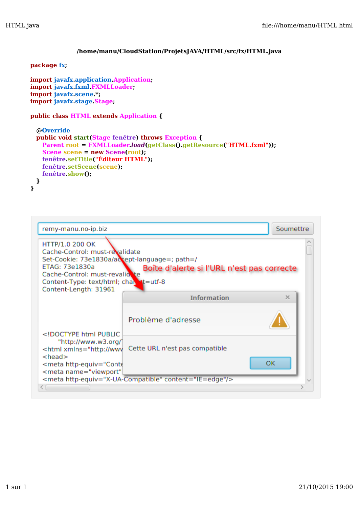# **/home/manu/CloudStation/ProjetsJAVA/HTML/src/fx/HTML.java**

## **package fx;**

```
import javafx.application.Application;
import javafx.fxml.FXMLLoader;
import javafx.scene.*;
import javafx.stage.Stage;
```
## **public class HTML extends Application {**

```
 @Override
 public void start(Stage fenêtre) throws Exception {
   Parent root = FXMLLoader.load(getClass().getResource("HTML.fxml"));
   Scene scene = new Scene(root); 
   fenêtre.setTitle("Éditeur HTML");
   fenêtre.setScene(scene);
   fenêtre.show();
  }
}
```

| remy-manu.no-ip.biz                                                                                                                                                                                                                                                                                                                                                             |                                                        | Soumettre |
|---------------------------------------------------------------------------------------------------------------------------------------------------------------------------------------------------------------------------------------------------------------------------------------------------------------------------------------------------------------------------------|--------------------------------------------------------|-----------|
| HTTP/1.0 200 OK                                                                                                                                                                                                                                                                                                                                                                 |                                                        |           |
| Cache-Control: must-revalidate                                                                                                                                                                                                                                                                                                                                                  |                                                        |           |
| Set-Cookie: 73e1830a/accept-language=; path=/                                                                                                                                                                                                                                                                                                                                   |                                                        |           |
| ETAG: 73e1830a                                                                                                                                                                                                                                                                                                                                                                  | Boîte d'alerte si l'URL n'est pas correcte             |           |
| Cache-Control: must-revalidete<br>Content-Type: text/html; charent=utf-8                                                                                                                                                                                                                                                                                                        |                                                        |           |
| Content-Length: 31961                                                                                                                                                                                                                                                                                                                                                           |                                                        |           |
|                                                                                                                                                                                                                                                                                                                                                                                 | <b>Information</b>                                     | $\times$  |
|                                                                                                                                                                                                                                                                                                                                                                                 |                                                        |           |
|                                                                                                                                                                                                                                                                                                                                                                                 |                                                        |           |
|                                                                                                                                                                                                                                                                                                                                                                                 | Problème d'adresse                                     |           |
| html PUBLIC</td <td></td> <td></td>                                                                                                                                                                                                                                                                                                                                             |                                                        |           |
| "http://www.w3.org/1                                                                                                                                                                                                                                                                                                                                                            |                                                        |           |
| <html conte<="" td="" xmlns="http://wwv&lt;/td&gt;&lt;td&gt;Cette URL n'est pas compatible&lt;/td&gt;&lt;td&gt;&lt;/td&gt;&lt;/tr&gt;&lt;tr&gt;&lt;td&gt;&lt;math&gt;&lt;&lt;/math&gt;head&lt;math&gt;&gt;&lt;/math&gt;&lt;/td&gt;&lt;td&gt;&lt;/td&gt;&lt;td&gt;&lt;b&gt;OK&lt;/b&gt;&lt;/td&gt;&lt;/tr&gt;&lt;tr&gt;&lt;td&gt;&lt;meta http-equiv="><td></td><td></td></html> |                                                        |           |
| <meta <="" name="viewport" td=""/> <td><meta content="IE=edge" http-equiv="X-UA-Compatible"/></td> <td></td>                                                                                                                                                                                                                                                                    | <meta content="IE=edge" http-equiv="X-UA-Compatible"/> |           |
|                                                                                                                                                                                                                                                                                                                                                                                 |                                                        |           |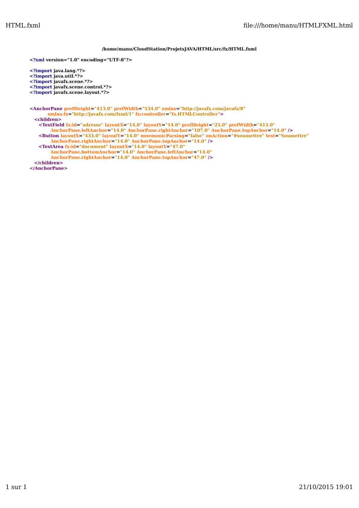### **/home/manu/CloudStation/ProjetsJAVA/HTML/src/fx/HTML.fxml**

**<?xml version="1.0" encoding="UTF-8"?>**

**<?import java.lang.\*?> <?import java.util.\*?>**

**<?import javafx.scene.\*?>**

**<?import javafx.scene.control.\*?>**

**<?import javafx.scene.layout.\*?>**

#### **<AnchorPane prefHeight="413.0" prefWidth="534.0" xmlns="http://javafx.com/javafx/8" xmlns:fx="http://javafx.com/fxml/1" fx:controller="fx.HTMLController"> <children>**

**<TextField fx:id="adresse" layoutX="14.0" layoutY="14.0" prefHeight="25.0" prefWidth="413.0" AnchorPane.leftAnchor="14.0" AnchorPane.rightAnchor="107.0" AnchorPane.topAnchor="14.0" /> <Button layoutX="433.0" layoutY="14.0" mnemonicParsing="false" onAction="#soumettre" text="Soumettre" AnchorPane.rightAnchor="14.0" AnchorPane.topAnchor="14.0" /> <TextArea fx:id="document" layoutX="14.0" layoutY="47.0"**

**AnchorPane.bottomAnchor="14.0" AnchorPane.leftAnchor="14.0" AnchorPane.rightAnchor="14.0" AnchorPane.topAnchor="47.0" />**

**</children>**

**</AnchorPane>**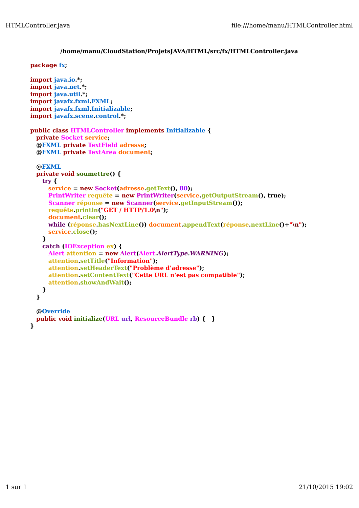## **/home/manu/CloudStation/ProjetsJAVA/HTML/src/fx/HTMLController.java**

## **package fx;**

```
import java.io.*;
import java.net.*;
import java.util.*;
import javafx.fxml.FXML;
import javafx.fxml.Initializable;
import javafx.scene.control.*;
public class HTMLController implements Initializable {
 private Socket service;
  @FXML private TextField adresse;
  @FXML private TextArea document;
  @FXML
 private void soumettre() {
   try {
     service = new Socket(adresse.getText(), 80);
     PrintWriter requête = new PrintWriter(service.getOutputStream(), true);
     Scanner réponse = new Scanner(service.getInputStream());
     requête.println("GET / HTTP/1.0\n");
     document.clear();
     while (réponse.hasNextLine()) document.appendText(réponse.nextLine()+"\n");
     service.close();
    } 
   catch (IOException ex) {
     Alert attention = new Alert(Alert.AlertType.WARNING);
     attention.setTitle("Information");
     attention.setHeaderText("Problème d'adresse");
     attention.setContentText("Cette URL n'est pas compatible");
     attention.showAndWait();
    }
  }
  @Override
 public void initialize(URL url, ResourceBundle rb) { } 
}
```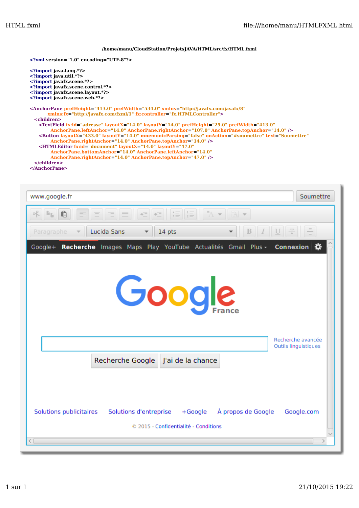### **/home/manu/CloudStation/ProjetsJAVA/HTML/src/fx/HTML.fxml**

**<?xml version="1.0" encoding="UTF-8"?>**

```
<?import java.lang.*?>
<?import java.util.*?>
<?import javafx.scene.*?>
<?import javafx.scene.control.*?>
<?import javafx.scene.layout.*?>
<?import javafx.scene.web.*?>
<AnchorPane prefHeight="413.0" prefWidth="534.0" xmlns="http://javafx.com/javafx/8"
       xmlns:fx="http://javafx.com/fxml/1" fx:controller="fx.HTMLController">
 <children>
   <TextField fx:id="adresse" layoutX="14.0" layoutY="14.0" prefHeight="25.0" prefWidth="413.0"
       AnchorPane.leftAnchor="14.0" AnchorPane.rightAnchor="107.0" AnchorPane.topAnchor="14.0" />
   <Button layoutX="433.0" layoutY="14.0" mnemonicParsing="false" onAction="#soumettre" text="Soumettre"
       AnchorPane.rightAnchor="14.0" AnchorPane.topAnchor="14.0" />
   <HTMLEditor fx:id="document" layoutX="14.0" layoutY="47.0"
        AnchorPane.bottomAnchor="14.0" AnchorPane.leftAnchor="14.0"
        AnchorPane.rightAnchor="14.0" AnchorPane.topAnchor="47.0" />
 </children>
```
**</AnchorPane>**

| www.google.fr                                                                     | Soumettre            |  |  |
|-----------------------------------------------------------------------------------|----------------------|--|--|
|                                                                                   |                      |  |  |
| $B$ $I$ $U$ $\pm$<br>Lucida Sans<br>14 pts<br>Paragraphe                          |                      |  |  |
| Recherche Images Maps Play YouTube Actualités Gmail Plus - Connexion 3<br>Google+ |                      |  |  |
|                                                                                   |                      |  |  |
|                                                                                   |                      |  |  |
| Google                                                                            |                      |  |  |
|                                                                                   |                      |  |  |
|                                                                                   |                      |  |  |
|                                                                                   | Recherche avancée    |  |  |
|                                                                                   | Outils linguistiques |  |  |
| Recherche Google<br>J'ai de la chance                                             |                      |  |  |
|                                                                                   |                      |  |  |
|                                                                                   |                      |  |  |
| Solutions publicitaires<br>Solutions d'entreprise + Google<br>À propos de Google  | Google.com           |  |  |
| © 2015 - Confidentialité - Conditions                                             |                      |  |  |
|                                                                                   |                      |  |  |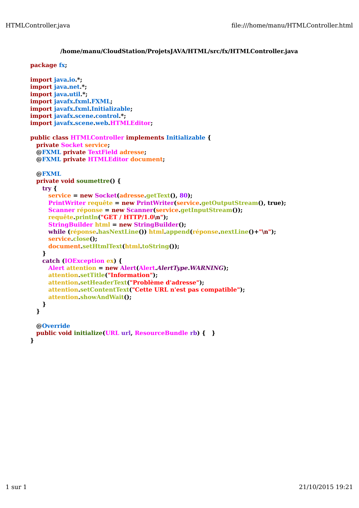## **/home/manu/CloudStation/ProjetsJAVA/HTML/src/fx/HTMLController.java**

## **package fx;**

```
import java.io.*;
import java.net.*;
import java.util.*;
import javafx.fxml.FXML;
import javafx.fxml.Initializable;
import javafx.scene.control.*;
import javafx.scene.web.HTMLEditor;
public class HTMLController implements Initializable {
 private Socket service;
  @FXML private TextField adresse;
  @FXML private HTMLEditor document;
  @FXML
 private void soumettre() {
   try {
     service = new Socket(adresse.getText(), 80);
     PrintWriter requête = new PrintWriter(service.getOutputStream(), true);
     Scanner réponse = new Scanner(service.getInputStream());
     requête.println("GET / HTTP/1.0\n");
     StringBuilder html = new StringBuilder();
     while (réponse.hasNextLine()) html.append(réponse.nextLine()+"\n");
     service.close();
     document.setHtmlText(html.toString());
    } 
   catch (IOException ex) {
     Alert attention = new Alert(Alert.AlertType.WARNING);
     attention.setTitle("Information");
     attention.setHeaderText("Problème d'adresse");
     attention.setContentText("Cette URL n'est pas compatible");
     attention.showAndWait();
    }
  }
  @Override
 public void initialize(URL url, ResourceBundle rb) { } 
}
```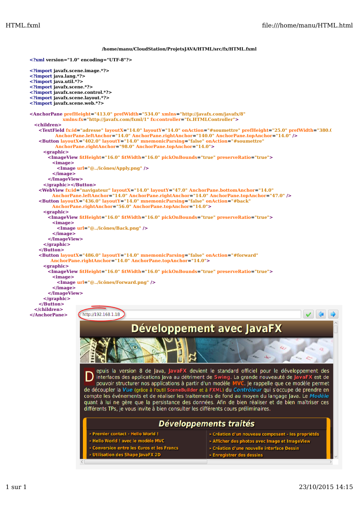### **/home/manu/CloudStation/ProjetsJAVA/HTML/src/fx/HTML.fxml**

```
<?xml version="1.0" encoding="UTF-8"?>
<?import javafx.scene.image.*?>
<?import java.lang.*?>
<?import java.util.*?>
<?import javafx.scene.*?>
<?import javafx.scene.control.*?>
<?import javafx.scene.layout.*?>
<?import javafx.scene.web.*?>
<AnchorPane prefHeight="413.0" prefWidth="534.0" xmlns="http://javafx.com/javafx/8"
             xmlns:fx="http://javafx.com/fxml/1" fx:controller="fx.HTMLController">
  <children>
   <TextField fx:id="adresse" layoutX="14.0" layoutY="14.0" onAction="#soumettre" prefHeight="25.0" prefWidth="380.0"
          AnchorPane.leftAnchor="14.0" AnchorPane.rightAnchor="140.0" AnchorPane.topAnchor="14.0" />
   <Button layoutX="402.0" layoutY="14.0" mnemonicParsing="false" onAction="#soumettre"
          AnchorPane.rightAnchor="98.0" AnchorPane.topAnchor="14.0"> 
     <graphic>
       <ImageView fitHeight="16.0" fitWidth="16.0" pickOnBounds="true" preserveRatio="true">
         <image>
          <Image url="@../icônes/Apply.png" />
         </image>
       </ImageView>
     </graphic></Button>
   <WebView fx:id="navigateur" layoutX="14.0" layoutY="47.0" AnchorPane.bottomAnchor="14.0"
         AnchorPane.leftAnchor="14.0" AnchorPane.rightAnchor="14.0" AnchorPane.topAnchor="47.0" />
   <Button layoutX="436.0" layoutY="14.0" mnemonicParsing="false" onAction="#back"
        AnchorPane.rightAnchor="56.0" AnchorPane.topAnchor="14.0">
     <graphic>
       <ImageView fitHeight="16.0" fitWidth="16.0" pickOnBounds="true" preserveRatio="true">
        <image>
          <Image url="@../icônes/Back.png" />
         </image>
       </ImageView>
     </graphic>
   </Button>
   <Button layoutX="486.0" layoutY="14.0" mnemonicParsing="false" onAction="#forward"
        AnchorPane.rightAnchor="14.0" AnchorPane.topAnchor="14.0">
     <graphic>
       <ImageView fitHeight="16.0" fitWidth="16.0" pickOnBounds="true" preserveRatio="true">
        <image>
          <Image url="@../icônes/Forward.png" />
         </image>
       </ImageView>
     </graphic>
   </Button> 
  </children>
                    http://192.168.1.18
</AnchorPane>
                                        Développement avec JavaFX
                          epuis la version 8 de Java, JavaFX devient le standard officiel pour le développement des
                          interfaces des applications Java au détriment de Swing. La grande nouveauté de JavaFX est de
                          pouvoir structurer nos applications à partir d'un modèle MVC. Je rappelle que ce modèle permet
                     de découpler la Vue (grâce à l'outil SceneBuilder et à FXML) du Contrôleur qui s'occupe de prendre en compte les événements et de réaliser les traitements de fond au moyen du langage Java. Le Modèle
                     quant à lui ne gère que la persistance des données. Afin de bien réaliser et de bien maîtriser ces
                     différents TPs, je vous invite à bien consulter les différents cours préliminaires.
                                                    Développements traités
                        > Premier contact - Hello World !
                                                                        > Création d'un nouveau composant - les propriétés
                        > Hello World ! avec le modèle MVC
                                                                        > Afficher des photos avec Image et ImageView
                         Conversion entre les €uros et les Francs
                                                                        > Création d'une nouvelle interface Dessin
                                                                        > Enregistrer des dessins
```